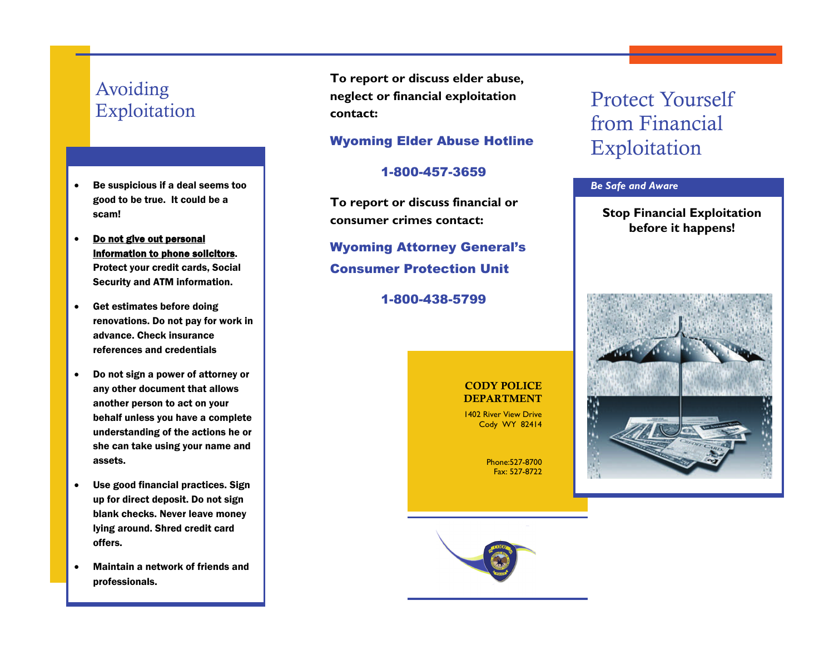## Avoiding Exploitation

- $\bullet$  Be suspicious if a deal seems too good to be true. It could be a scam!
- $\bullet$  Do not give out personal information to phone solicitors. Protect your credit cards, Social Security and ATM information.
- $\bullet$  Get estimates before doing renovations. Do not pay for work in advance. Check insurance references and credentials
- $\bullet$  Do not sign a power of attorney or any other document that allows another person to act on your behalf unless you have a complete understanding of the actions he or she can take using your name and assets.
- $\bullet$  Use good financial practices. Sign up for direct deposit. Do not sign blank checks. Never leave money lying around. Shred credit card offers.
- . Maintain a network of friends and professionals.

**To report or discuss elder abuse, neglect or financial exploitation contact:** 

### Wyoming Elder Abuse Hotline

#### 1-800-457-3659

**To report or discuss financial or consumer crimes contact:** 

Wyoming Attorney General's Consumer Protection Unit

1-800-438-5799

#### CODY POLICE DEPARTMENT

1402 River View Drive Cody WY 82414

> Phone:527-8700 Fax: 527-8722

## Protect Yourself from Financial Exploitation

#### *Be Safe and Aware*

**Stop Financial Exploitation before it happens!**